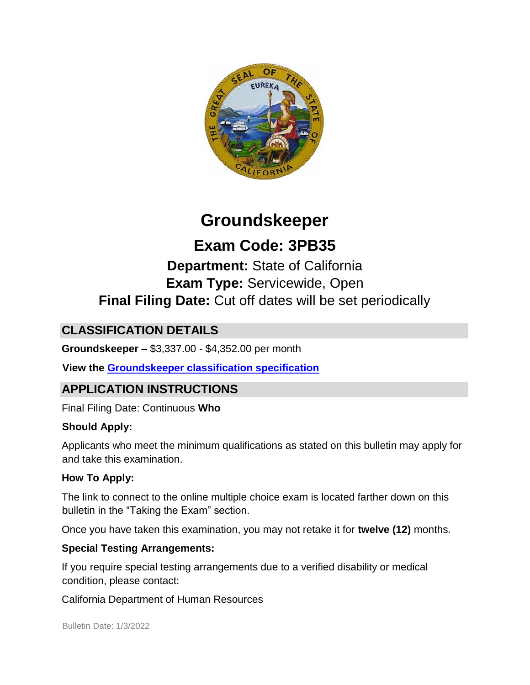

## **Groundskeeper**

# **Exam Code: 3PB35**

## **Department:** State of California **Exam Type:** Servicewide, Open **Final Filing Date:** Cut off dates will be set periodically

### **CLASSIFICATION DETAILS**

**Groundskeeper –** \$3,337.00 - \$4,352.00 per month

**View the [Groundskeeper classification specification](https://www.calhr.ca.gov/state-hr-professionals/pages/0731.aspx)**

### **APPLICATION INSTRUCTIONS**

Final Filing Date: Continuous **Who** 

### **Should Apply:**

Applicants who meet the minimum qualifications as stated on this bulletin may apply for and take this examination.

### **How To Apply:**

The link to connect to the online multiple choice exam is located farther down on this bulletin in the "Taking the Exam" section.

Once you have taken this examination, you may not retake it for **twelve (12)** months.

### **Special Testing Arrangements:**

If you require special testing arrangements due to a verified disability or medical condition, please contact:

California Department of Human Resources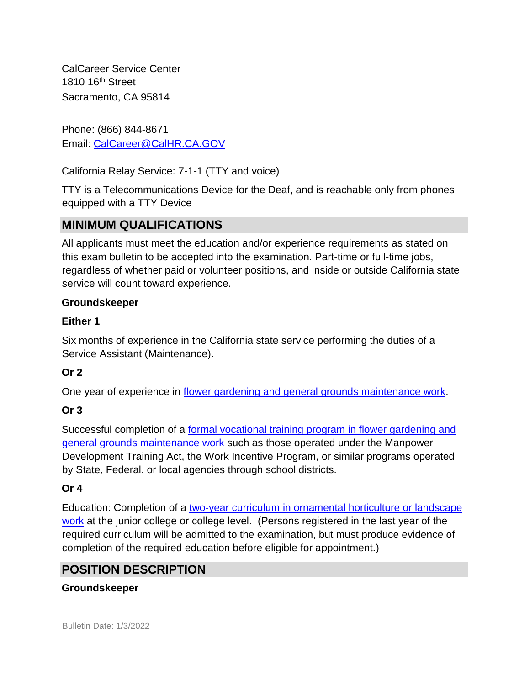CalCareer Service Center 1810 16<sup>th</sup> Street Sacramento, CA 95814

Phone: (866) 844-8671 Email: CalCareer@CalHR.CA.GOV

California Relay Service: 7-1-1 (TTY and voice)

TTY is a Telecommunications Device for the Deaf, and is reachable only from phones equipped with a TTY Device

### **MINIMUM QUALIFICATIONS**

All applicants must meet the education and/or experience requirements as stated on this exam bulletin to be accepted into the examination. Part-time or full-time jobs, regardless of whether paid or volunteer positions, and inside or outside California state service will count toward experience.

### **Groundskeeper**

#### **Either 1**

Six months of experience in the California state service performing the duties of a Service Assistant (Maintenance).

### **Or 2**

One year of experience in [flower gardening and general grounds maintenance work.](https://www.jobs.ca.gov/jobsgen/3PB35B.pdf)

### **Or 3**

Successful completion of a [formal vocational training program in flower gardening and](https://www.jobs.ca.gov/jobsgen/3PB35A.pdf) [general grounds maintenance work](https://www.jobs.ca.gov/jobsgen/3PB35A.pdf) [s](https://www.jobs.ca.gov/jobsgen/3PB35A.pdf)uch as those operated under the Manpower Development Training Act, the Work Incentive Program, or similar programs operated by State, Federal, or local agencies through school districts.

### **Or 4**

Education: Completion of a [two-year curriculum in ornamental horticulture or landscape](https://www.jobs.ca.gov/jobsgen/3PB35C.pdf) [work](https://www.jobs.ca.gov/jobsgen/3PB35C.pdf) [a](https://www.jobs.ca.gov/jobsgen/3PB35C.pdf)t the junior college or college level. (Persons registered in the last year of the required curriculum will be admitted to the examination, but must produce evidence of completion of the required education before eligible for appointment.)

### **POSITION DESCRIPTION**

#### **Groundskeeper**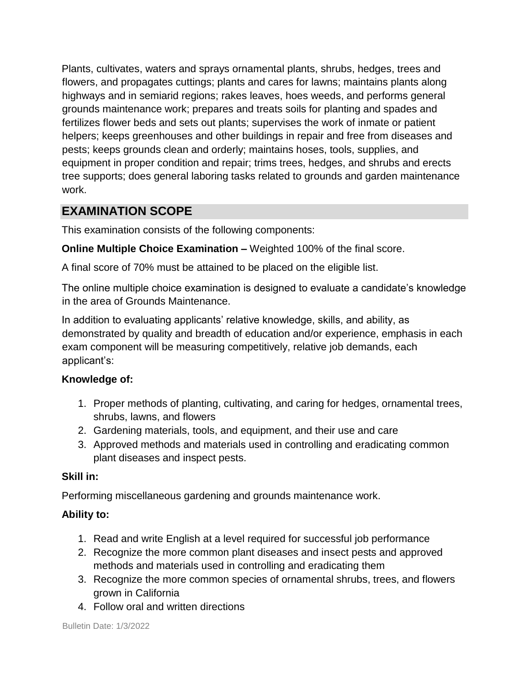Plants, cultivates, waters and sprays ornamental plants, shrubs, hedges, trees and flowers, and propagates cuttings; plants and cares for lawns; maintains plants along highways and in semiarid regions; rakes leaves, hoes weeds, and performs general grounds maintenance work; prepares and treats soils for planting and spades and fertilizes flower beds and sets out plants; supervises the work of inmate or patient helpers; keeps greenhouses and other buildings in repair and free from diseases and pests; keeps grounds clean and orderly; maintains hoses, tools, supplies, and equipment in proper condition and repair; trims trees, hedges, and shrubs and erects tree supports; does general laboring tasks related to grounds and garden maintenance work.

### **EXAMINATION SCOPE**

This examination consists of the following components:

**Online Multiple Choice Examination –** Weighted 100% of the final score.

A final score of 70% must be attained to be placed on the eligible list.

The online multiple choice examination is designed to evaluate a candidate's knowledge in the area of Grounds Maintenance.

In addition to evaluating applicants' relative knowledge, skills, and ability, as demonstrated by quality and breadth of education and/or experience, emphasis in each exam component will be measuring competitively, relative job demands, each applicant's:

### **Knowledge of:**

- 1. Proper methods of planting, cultivating, and caring for hedges, ornamental trees, shrubs, lawns, and flowers
- 2. Gardening materials, tools, and equipment, and their use and care
- 3. Approved methods and materials used in controlling and eradicating common plant diseases and inspect pests.

#### **Skill in:**

Performing miscellaneous gardening and grounds maintenance work.

#### **Ability to:**

- 1. Read and write English at a level required for successful job performance
- 2. Recognize the more common plant diseases and insect pests and approved methods and materials used in controlling and eradicating them
- 3. Recognize the more common species of ornamental shrubs, trees, and flowers grown in California
- 4. Follow oral and written directions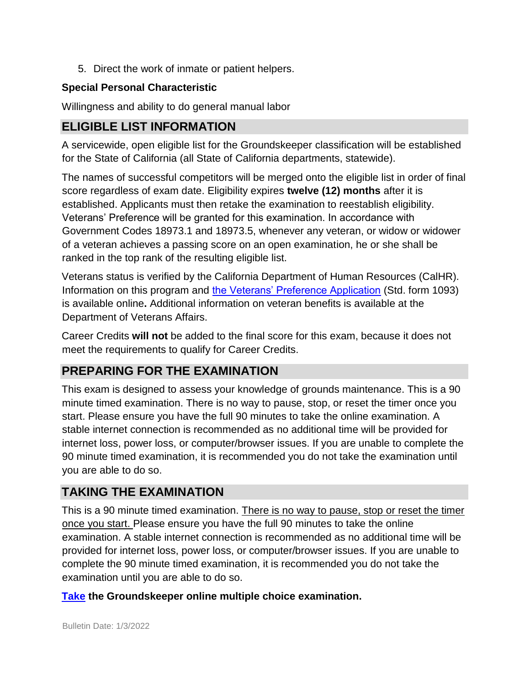5. Direct the work of inmate or patient helpers.

#### **Special Personal Characteristic**

Willingness and ability to do general manual labor

### **ELIGIBLE LIST INFORMATION**

A servicewide, open eligible list for the Groundskeeper classification will be established for the State of California (all State of California departments, statewide).

The names of successful competitors will be merged onto the eligible list in order of final score regardless of exam date. Eligibility expires **twelve (12) months** after it is established. Applicants must then retake the examination to reestablish eligibility. Veterans' Preference will be granted for this examination. In accordance with Government Codes 18973.1 and 18973.5, whenever any veteran, or widow or widower of a veteran achieves a passing score on an open examination, he or she shall be ranked in the top rank of the resulting eligible list.

Veterans status is verified by the California Department of Human Resources (CalHR). Information on this program and [the Veterans' Preference Application](https://www.jobs.ca.gov/CalHRPublic/Landing/Jobs/VeteransInformation.aspx) [\(](https://www.jobs.ca.gov/CalHRPublic/Landing/Jobs/VeteransInformation.aspx)Std. form 1093) is available online**.** Additional information on veteran benefits is available at the Department of Veterans Affairs.

Career Credits **will not** be added to the final score for this exam, because it does not meet the requirements to qualify for Career Credits.

### **PREPARING FOR THE EXAMINATION**

This exam is designed to assess your knowledge of grounds maintenance. This is a 90 minute timed examination. There is no way to pause, stop, or reset the timer once you start. Please ensure you have the full 90 minutes to take the online examination. A stable internet connection is recommended as no additional time will be provided for internet loss, power loss, or computer/browser issues. If you are unable to complete the 90 minute timed examination, it is recommended you do not take the examination until you are able to do so.

### **TAKING THE EXAMINATION**

This is a 90 minute timed examination. There is no way to pause, stop or reset the timer once you start. Please ensure you have the full 90 minutes to take the online examination. A stable internet connection is recommended as no additional time will be provided for internet loss, power loss, or computer/browser issues. If you are unable to complete the 90 minute timed examination, it is recommended you do not take the examination until you are able to do so.

#### **[Take](https://www.jobs.ca.gov/public/login.aspx?examid=3pb35) the Groundskeeper online multiple choice examination.**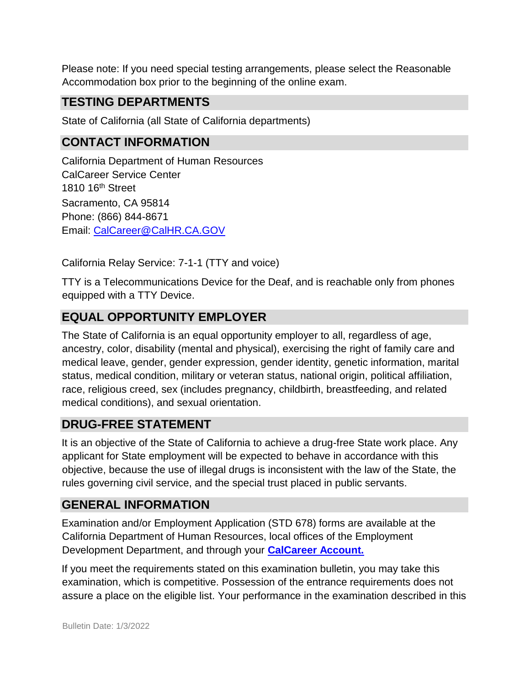Please note: If you need special testing arrangements, please select the Reasonable Accommodation box prior to the beginning of the online exam.

### **TESTING DEPARTMENTS**

State of California (all State of California departments)

### **CONTACT INFORMATION**

California Department of Human Resources CalCareer Service Center 1810 16th Street Sacramento, CA 95814 Phone: (866) 844-8671 Email: CalCareer@CalHR.CA.GOV

California Relay Service: 7-1-1 (TTY and voice)

TTY is a Telecommunications Device for the Deaf, and is reachable only from phones equipped with a TTY Device.

### **EQUAL OPPORTUNITY EMPLOYER**

The State of California is an equal opportunity employer to all, regardless of age, ancestry, color, disability (mental and physical), exercising the right of family care and medical leave, gender, gender expression, gender identity, genetic information, marital status, medical condition, military or veteran status, national origin, political affiliation, race, religious creed, sex (includes pregnancy, childbirth, breastfeeding, and related medical conditions), and sexual orientation.

### **DRUG-FREE STATEMENT**

It is an objective of the State of California to achieve a drug-free State work place. Any applicant for State employment will be expected to behave in accordance with this objective, because the use of illegal drugs is inconsistent with the law of the State, the rules governing civil service, and the special trust placed in public servants.

### **GENERAL INFORMATION**

Examination and/or Employment Application (STD 678) forms are available at the California Department of Human Resources, local offices of the Employment Development Department, and through your **[CalCareer Account.](http://www.jobs.ca.gov/)**

If you meet the requirements stated on this examination bulletin, you may take this examination, which is competitive. Possession of the entrance requirements does not assure a place on the eligible list. Your performance in the examination described in this